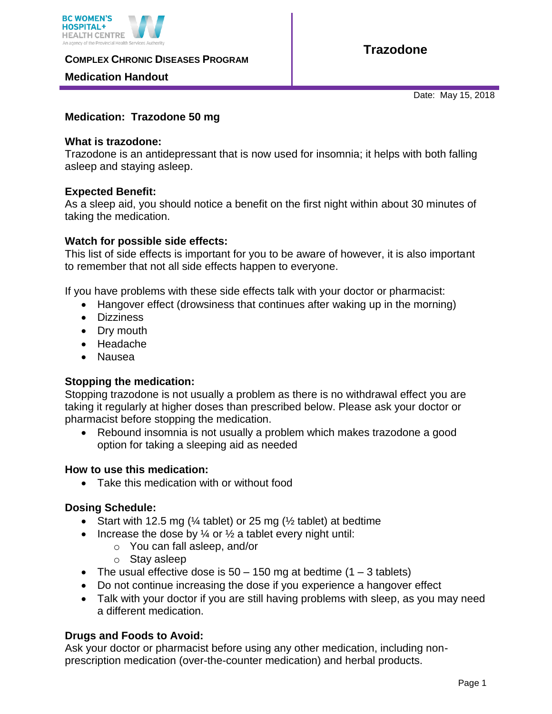

**COMPLEX CHRONIC DISEASES PROGRAM** 

# **Medication Handout**

Date: May 15, 2018

# **Medication: Trazodone 50 mg**

#### **What is trazodone:**

Trazodone is an antidepressant that is now used for insomnia; it helps with both falling asleep and staying asleep.

# **Expected Benefit:**

As a sleep aid, you should notice a benefit on the first night within about 30 minutes of taking the medication.

#### **Watch for possible side effects:**

This list of side effects is important for you to be aware of however, it is also important to remember that not all side effects happen to everyone.

If you have problems with these side effects talk with your doctor or pharmacist:

- Hangover effect (drowsiness that continues after waking up in the morning)
- Dizziness
- Dry mouth
- Headache
- Nausea

# **Stopping the medication:**

Stopping trazodone is not usually a problem as there is no withdrawal effect you are taking it regularly at higher doses than prescribed below. Please ask your doctor or pharmacist before stopping the medication.

 Rebound insomnia is not usually a problem which makes trazodone a good option for taking a sleeping aid as needed

#### **How to use this medication:**

• Take this medication with or without food

# **Dosing Schedule:**

- Start with 12.5 mg ( $\frac{1}{4}$  tablet) or 25 mg ( $\frac{1}{2}$  tablet) at bedtime
- Increase the dose by  $\frac{1}{4}$  or  $\frac{1}{2}$  a tablet every night until:
	- o You can fall asleep, and/or
	- o Stay asleep
- The usual effective dose is  $50 150$  mg at bedtime  $(1 3$  tablets)
- Do not continue increasing the dose if you experience a hangover effect
- Talk with your doctor if you are still having problems with sleep, as you may need a different medication.

# **Drugs and Foods to Avoid:**

Ask your doctor or pharmacist before using any other medication, including nonprescription medication (over-the-counter medication) and herbal products.